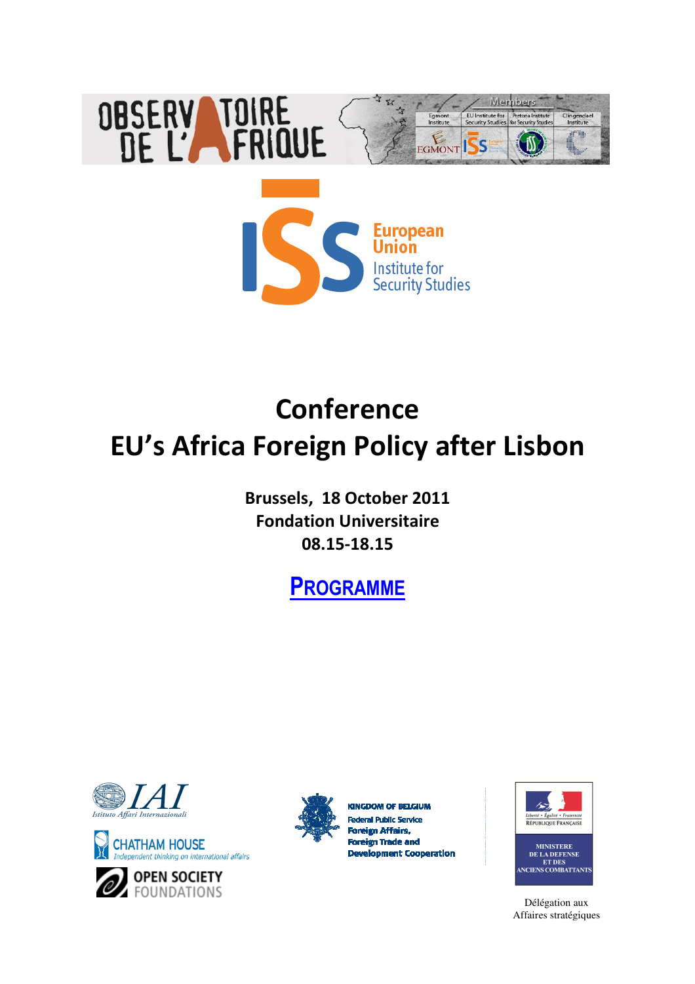

# **Conference EU's Africa Foreign Policy after Lisbon**

**Brussels, 18 October 2011 Fondation Universitaire 08.15-18.15** 

## **PROGRAMME**



**CHATHAM HOUSE** ndent thinking on international affairs





**KINGDOM OF BELGIUM** ral Public Service Foreign Affairs, **Foreign Trade and Development Cooperation** 





Délégation aux Affaires stratégiques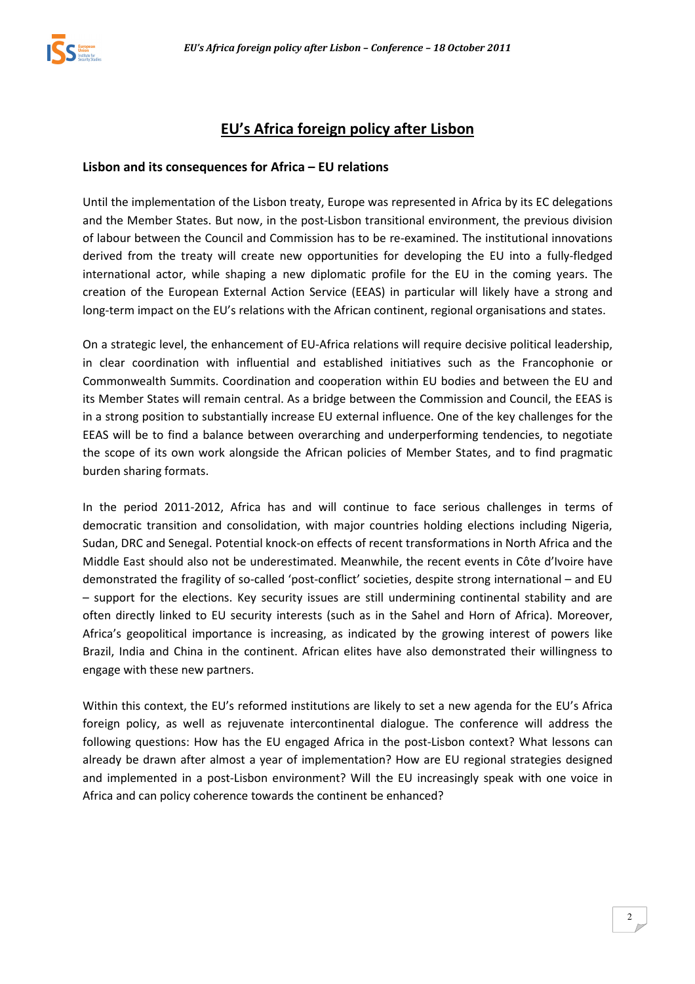

### **EU's Africa foreign policy after Lisbon**

#### **Lisbon and its consequences for Africa – EU relations**

Until the implementation of the Lisbon treaty, Europe was represented in Africa by its EC delegations and the Member States. But now, in the post-Lisbon transitional environment, the previous division of labour between the Council and Commission has to be re-examined. The institutional innovations derived from the treaty will create new opportunities for developing the EU into a fully-fledged international actor, while shaping a new diplomatic profile for the EU in the coming years. The creation of the European External Action Service (EEAS) in particular will likely have a strong and long-term impact on the EU's relations with the African continent, regional organisations and states.

On a strategic level, the enhancement of EU-Africa relations will require decisive political leadership, in clear coordination with influential and established initiatives such as the Francophonie or Commonwealth Summits. Coordination and cooperation within EU bodies and between the EU and its Member States will remain central. As a bridge between the Commission and Council, the EEAS is in a strong position to substantially increase EU external influence. One of the key challenges for the EEAS will be to find a balance between overarching and underperforming tendencies, to negotiate the scope of its own work alongside the African policies of Member States, and to find pragmatic burden sharing formats.

In the period 2011-2012, Africa has and will continue to face serious challenges in terms of democratic transition and consolidation, with major countries holding elections including Nigeria, Sudan, DRC and Senegal. Potential knock-on effects of recent transformations in North Africa and the Middle East should also not be underestimated. Meanwhile, the recent events in Côte d'Ivoire have demonstrated the fragility of so-called 'post-conflict' societies, despite strong international – and EU – support for the elections. Key security issues are still undermining continental stability and are often directly linked to EU security interests (such as in the Sahel and Horn of Africa). Moreover, Africa's geopolitical importance is increasing, as indicated by the growing interest of powers like Brazil, India and China in the continent. African elites have also demonstrated their willingness to engage with these new partners.

Within this context, the EU's reformed institutions are likely to set a new agenda for the EU's Africa foreign policy, as well as rejuvenate intercontinental dialogue. The conference will address the following questions: How has the EU engaged Africa in the post-Lisbon context? What lessons can already be drawn after almost a year of implementation? How are EU regional strategies designed and implemented in a post-Lisbon environment? Will the EU increasingly speak with one voice in Africa and can policy coherence towards the continent be enhanced?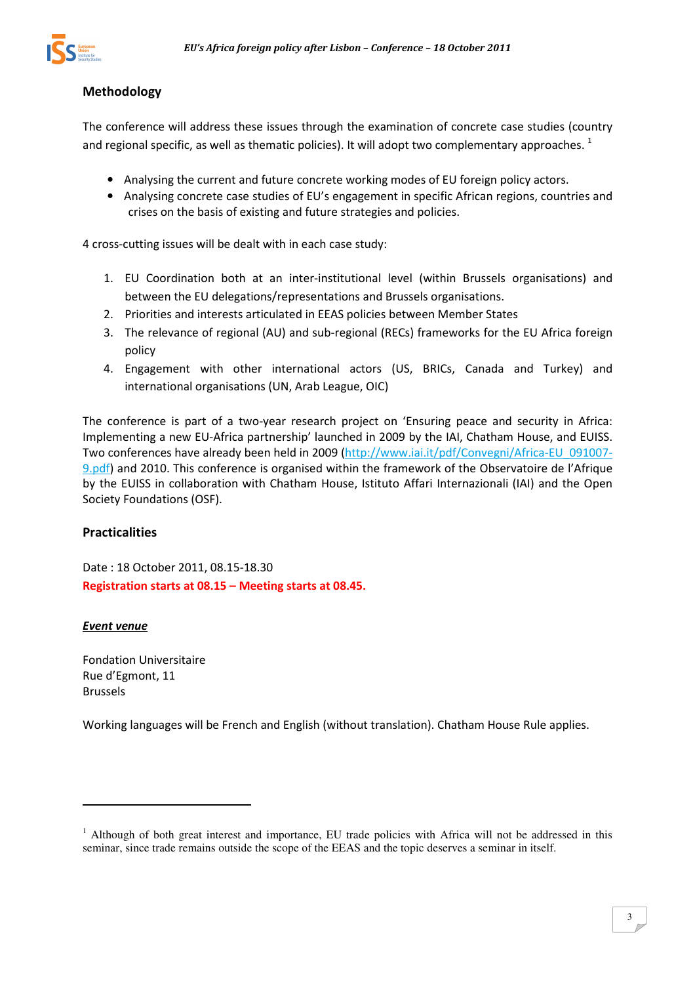

#### **Methodology**

The conference will address these issues through the examination of concrete case studies (country and regional specific, as well as thematic policies). It will adopt two complementary approaches.  $^{1}$ 

- Analysing the current and future concrete working modes of EU foreign policy actors.
- Analysing concrete case studies of EU's engagement in specific African regions, countries and crises on the basis of existing and future strategies and policies.

4 cross-cutting issues will be dealt with in each case study:

- 1. EU Coordination both at an inter-institutional level (within Brussels organisations) and between the EU delegations/representations and Brussels organisations.
- 2. Priorities and interests articulated in EEAS policies between Member States
- 3. The relevance of regional (AU) and sub-regional (RECs) frameworks for the EU Africa foreign policy
- 4. Engagement with other international actors (US, BRICs, Canada and Turkey) and international organisations (UN, Arab League, OIC)

The conference is part of a two-year research project on 'Ensuring peace and security in Africa: Implementing a new EU-Africa partnership' launched in 2009 by the IAI, Chatham House, and EUISS. Two conferences have already been held in 2009 (http://www.iai.it/pdf/Convegni/Africa-EU\_091007- 9.pdf) and 2010. This conference is organised within the framework of the Observatoire de l'Afrique by the EUISS in collaboration with Chatham House, Istituto Affari Internazionali (IAI) and the Open Society Foundations (OSF).

#### **Practicalities**

Date : 18 October 2011, 08.15-18.30 **Registration starts at 08.15 – Meeting starts at 08.45.** 

#### *Event venue*

 $\overline{a}$ 

Fondation Universitaire Rue d'Egmont, 11 Brussels

Working languages will be French and English (without translation). Chatham House Rule applies.

<sup>&</sup>lt;sup>1</sup> Although of both great interest and importance, EU trade policies with Africa will not be addressed in this seminar, since trade remains outside the scope of the EEAS and the topic deserves a seminar in itself.